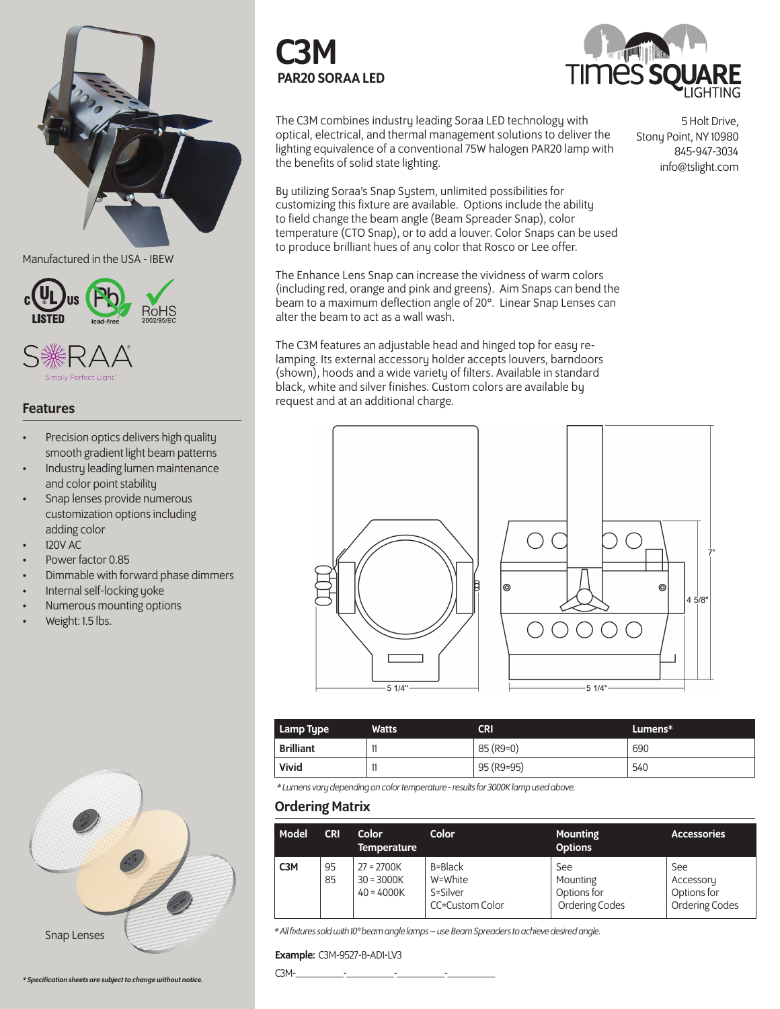

## Manufactured in the USA - IBEW





# Features

- Precision optics delivers high quality smooth gradient light beam patterns
- Industry leading lumen maintenance and color point stability
- Snap lenses provide numerous customization options including adding color
- 120V AC
- Power factor 0.85
- Dimmable with forward phase dimmers
- Internal self-locking yoke
- Numerous mounting options
- Weight: 1.5 lbs.



C3M PAR20 SORAA LED



The C3M combines industry leading Soraa LED technology with optical, electrical, and thermal management solutions to deliver the lighting equivalence of a conventional 75W halogen PAR20 lamp with the benefits of solid state lighting.

By utilizing Soraa's Snap System, unlimited possibilities for customizing this fixture are available. Options include the ability to field change the beam angle (Beam Spreader Snap), color temperature (CTO Snap), or to add a louver. Color Snaps can be used to produce brilliant hues of any color that Rosco or Lee offer.

The Enhance Lens Snap can increase the vividness of warm colors (including red, orange and pink and greens). Aim Snaps can bend the beam to a maximum deflection angle of 20°. Linear Snap Lenses can alter the beam to act as a wall wash.

The C3M features an adjustable head and hinged top for easy relamping. Its external accessory holder accepts louvers, barndoors (shown), hoods and a wide variety of filters. Available in standard black, white and silver finishes. Custom colors are available by request and at an additional charge.



| Lamp Type        | <b>Watts</b> | <b>CRI</b> | Lumens* |
|------------------|--------------|------------|---------|
| <b>Brilliant</b> | 11           | 85 (R9=0)  | 690     |
| Vivid            | 11           | 95 (R9=95) | 540     |

*\* Lumens vary depending on color temperature - results for 3000K lamp used above.*

# Ordering Matrix

| Model            | <b>CRI</b> | Color<br><b>Temperature</b>                  | Color                                             | <b>Mounting</b><br><b>Options</b>                | <b>Accessories</b>                                       |
|------------------|------------|----------------------------------------------|---------------------------------------------------|--------------------------------------------------|----------------------------------------------------------|
| C <sub>3</sub> M | 95<br>85   | $27 = 2700K$<br>$30 = 3000K$<br>$40 = 4000K$ | B=Black<br>W=White<br>S=Silver<br>CC=Custom Color | See<br>Mounting<br>Options for<br>Ordering Codes | See<br>Accessory<br>Options for<br><b>Ordering Codes</b> |

*\* All fixtures sold with 10° beam angle lamps – use Beam Spreaders to achieve desired angle.*

### Example: C3M-9527-B-AD1-LV3

*\* Specification sheets are subject to change without notice.* C3M-\_\_\_\_\_\_\_\_\_-\_\_\_\_\_\_\_\_\_-\_\_\_\_\_\_\_\_\_-\_\_\_\_\_\_\_\_\_

5 Holt Drive, Stony Point, NY 10980 845-947-3034 info@tslight.com

6

 $45/8$